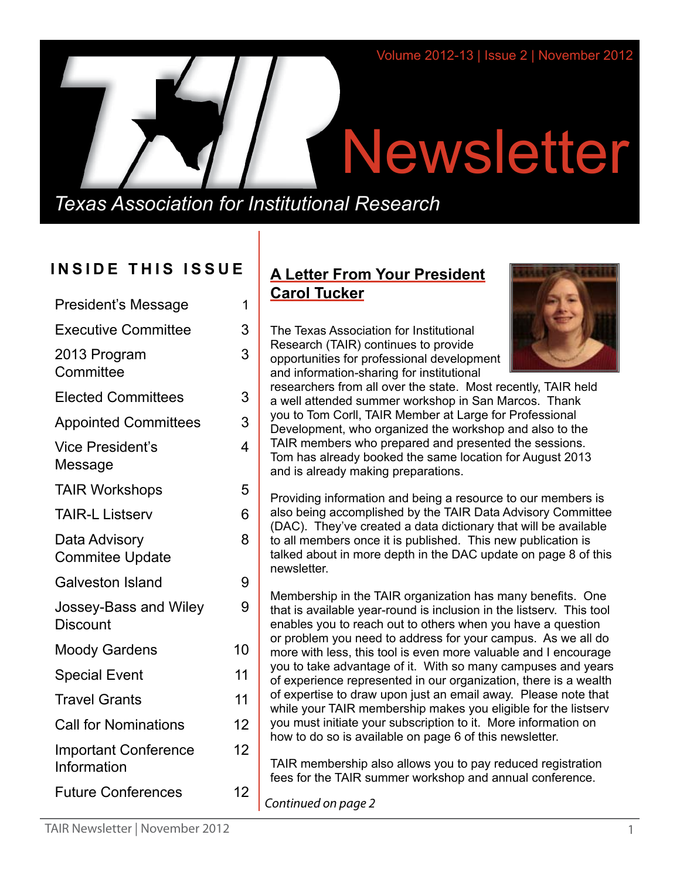# **Newsletter**

*Texas Association for Institutional Research*

# **INSIDE THIS ISSUE**

| <b>President's Message</b>                 | 1  |
|--------------------------------------------|----|
| <b>Executive Committee</b>                 | 3  |
| 2013 Program<br>Committee                  | 3  |
| <b>Elected Committees</b>                  | 3  |
| <b>Appointed Committees</b>                | 3  |
| <b>Vice President's</b><br>Message         | 4  |
| <b>TAIR Workshops</b>                      | 5  |
| <b>TAIR-L Listserv</b>                     | 6  |
| Data Advisory<br><b>Commitee Update</b>    | 8  |
| <b>Galveston Island</b>                    | 9  |
| Jossey-Bass and Wiley<br><b>Discount</b>   | 9  |
| <b>Moody Gardens</b>                       | 10 |
| <b>Special Event</b>                       | 11 |
| <b>Travel Grants</b>                       | 11 |
| <b>Call for Nominations</b>                | 12 |
| <b>Important Conference</b><br>Information | 12 |
| <b>Future Conferences</b>                  | 12 |
|                                            |    |

# **A Letter From Your President Carol Tucker**

The Texas Association for Institutional Research (TAIR) continues to provide opportunities for professional development and information-sharing for institutional



researchers from all over the state. Most recently, TAIR held a well attended summer workshop in San Marcos. Thank you to Tom Corll, TAIR Member at Large for Professional Development, who organized the workshop and also to the TAIR members who prepared and presented the sessions. Tom has already booked the same location for August 2013 and is already making preparations.

Providing information and being a resource to our members is also being accomplished by the TAIR Data Advisory Committee (DAC). They've created a data dictionary that will be available to all members once it is published. This new publication is talked about in more depth in the DAC update on page 8 of this newsletter.

Membership in the TAIR organization has many benefits. One that is available year-round is inclusion in the listserv. This tool enables you to reach out to others when you have a question or problem you need to address for your campus. As we all do more with less, this tool is even more valuable and I encourage you to take advantage of it. With so many campuses and years of experience represented in our organization, there is a wealth of expertise to draw upon just an email away. Please note that while your TAIR membership makes you eligible for the listserv you must initiate your subscription to it. More information on how to do so is available on page 6 of this newsletter.

TAIR membership also allows you to pay reduced registration fees for the TAIR summer workshop and annual conference.

*Continued on page 2*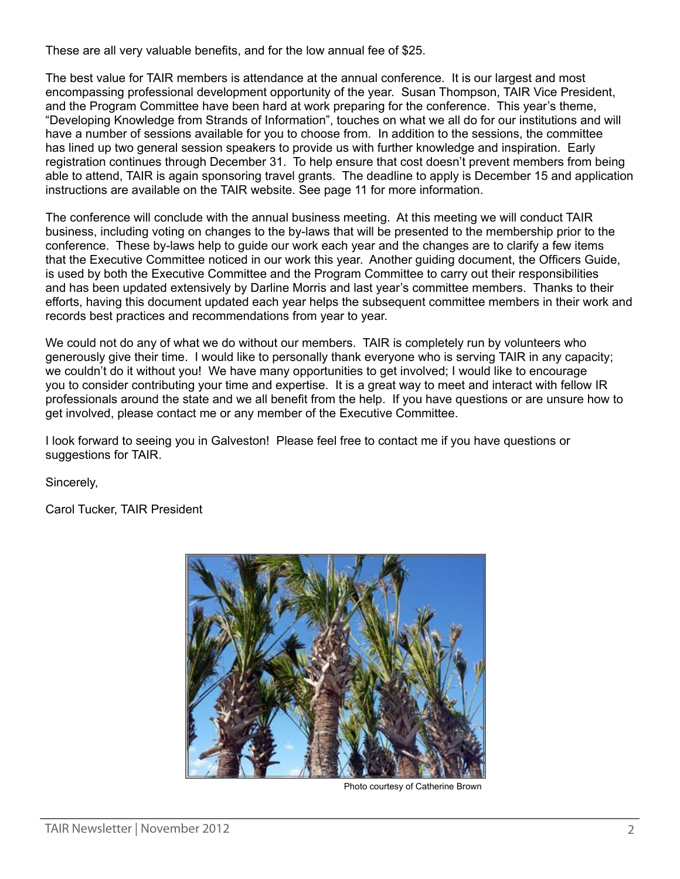These are all very valuable benefits, and for the low annual fee of \$25.

The best value for TAIR members is attendance at the annual conference. It is our largest and most encompassing professional development opportunity of the year. Susan Thompson, TAIR Vice President, and the Program Committee have been hard at work preparing for the conference. This year's theme, "Developing Knowledge from Strands of Information", touches on what we all do for our institutions and will have a number of sessions available for you to choose from. In addition to the sessions, the committee has lined up two general session speakers to provide us with further knowledge and inspiration. Early registration continues through December 31. To help ensure that cost doesn't prevent members from being able to attend, TAIR is again sponsoring travel grants. The deadline to apply is December 15 and application instructions are available on the TAIR website. See page 11 for more information.

The conference will conclude with the annual business meeting. At this meeting we will conduct TAIR business, including voting on changes to the by-laws that will be presented to the membership prior to the conference. These by-laws help to guide our work each year and the changes are to clarify a few items that the Executive Committee noticed in our work this year. Another guiding document, the Officers Guide, is used by both the Executive Committee and the Program Committee to carry out their responsibilities and has been updated extensively by Darline Morris and last year's committee members. Thanks to their efforts, having this document updated each year helps the subsequent committee members in their work and records best practices and recommendations from year to year.

We could not do any of what we do without our members. TAIR is completely run by volunteers who generously give their time. I would like to personally thank everyone who is serving TAIR in any capacity; we couldn't do it without you! We have many opportunities to get involved; I would like to encourage you to consider contributing your time and expertise. It is a great way to meet and interact with fellow IR professionals around the state and we all benefit from the help. If you have questions or are unsure how to get involved, please contact me or any member of the Executive Committee.

I look forward to seeing you in Galveston! Please feel free to contact me if you have questions or suggestions for TAIR.

Sincerely,

Carol Tucker, TAIR President



Photo courtesy of Catherine Brown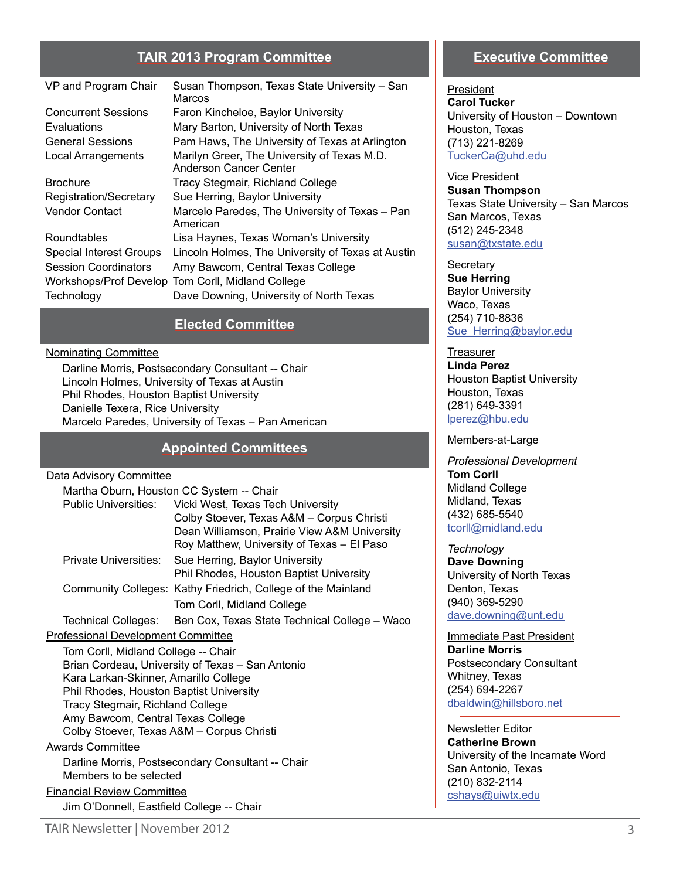# **TAIR 2013 Program Committee**

| VP and Program Chair           | Susan Thompson, Texas State University - San<br>Marcos                       |
|--------------------------------|------------------------------------------------------------------------------|
| <b>Concurrent Sessions</b>     | Faron Kincheloe, Baylor University                                           |
| Evaluations                    | Mary Barton, University of North Texas                                       |
| <b>General Sessions</b>        | Pam Haws, The University of Texas at Arlington                               |
| Local Arrangements             | Marilyn Greer, The University of Texas M.D.<br><b>Anderson Cancer Center</b> |
| <b>Brochure</b>                | <b>Tracy Stegmair, Richland College</b>                                      |
| Registration/Secretary         | Sue Herring, Baylor University                                               |
| Vendor Contact                 | Marcelo Paredes, The University of Texas - Pan<br>American                   |
| Roundtables                    | Lisa Haynes, Texas Woman's University                                        |
| <b>Special Interest Groups</b> | Lincoln Holmes, The University of Texas at Austin                            |
| <b>Session Coordinators</b>    | Amy Bawcom, Central Texas College                                            |
| Workshops/Prof Develop         | Tom Corll, Midland College                                                   |
| Technology                     | Dave Downing, University of North Texas                                      |

# **Elected Committee**

#### Nominating Committee

Darline Morris, Postsecondary Consultant -- Chair Lincoln Holmes, University of Texas at Austin Phil Rhodes, Houston Baptist University Danielle Texera, Rice University Marcelo Paredes, University of Texas – Pan American

# **Appointed Committees**

#### Data Advisory Committee

| <u>- alaman - alaman - alaman - a</u>            |                                                                                            |  |
|--------------------------------------------------|--------------------------------------------------------------------------------------------|--|
|                                                  | Martha Oburn, Houston CC System -- Chair                                                   |  |
| <b>Public Universities:</b>                      | Vicki West, Texas Tech University                                                          |  |
|                                                  | Colby Stoever, Texas A&M - Corpus Christi                                                  |  |
|                                                  | Dean Williamson, Prairie View A&M University<br>Roy Matthew, University of Texas - El Paso |  |
| Private Universities:                            | Sue Herring, Baylor University<br>Phil Rhodes, Houston Baptist University                  |  |
|                                                  | Community Colleges: Kathy Friedrich, College of the Mainland                               |  |
|                                                  | Tom Corll, Midland College                                                                 |  |
|                                                  | Technical Colleges: Ben Cox, Texas State Technical College - Waco                          |  |
| <b>Professional Development Committee</b>        |                                                                                            |  |
| Tom Corll, Midland College -- Chair              |                                                                                            |  |
| Brian Cordeau, University of Texas - San Antonio |                                                                                            |  |
| Kara Larkan-Skinner, Amarillo College            |                                                                                            |  |
| Phil Rhodes, Houston Baptist University          |                                                                                            |  |
| <b>Tracy Stegmair, Richland College</b>          |                                                                                            |  |
| Amy Bawcom, Central Texas College                |                                                                                            |  |
| Colby Stoever, Texas A&M - Corpus Christi        |                                                                                            |  |
| <b>Awards Committee</b>                          |                                                                                            |  |
|                                                  | Darline Morris, Postsecondary Consultant -- Chair                                          |  |
| Members to be selected                           |                                                                                            |  |
| <b>Financial Review Committee</b>                |                                                                                            |  |
| Jim O'Donnell, Eastfield College -- Chair        |                                                                                            |  |

# **Executive Committee**

President **Carol Tucker** University of Houston – Downtown Houston, Texas (713) 221-8269 [TuckerCa@uhd.edu](mailto:TuckerCa%40uhd.edu?subject=)

Vice President **Susan Thompson** Texas State University – San Marcos San Marcos, Texas (512) 245-2348 [susan@txstate.edu](mailto:susan%40txstate.edu?subject=)

**Secretary Sue Herring** Baylor University Waco, Texas (254) 710-8836 [Sue\\_Herring@baylor.edu](mailto:Sue_Herring%40baylor.edu?subject=)

**Treasurer Linda Perez** Houston Baptist University Houston, Texas (281) 649-3391 [lperez@hbu.edu](mailto:lperez%40hbu.edu?subject=)

#### Members-at-Large

*Professional Development*  **Tom Corll** Midland College Midland, Texas (432) 685-5540 [tcorll@midland.edu](mailto:tcorll%40midland.edu?subject=)

*Technology* **Dave Downing** University of North Texas Denton, Texas (940) 369-5290 [dave.downing@unt.edu](mailto:dave.downing%40unt.edu?subject=)

Immediate Past President **Darline Morris** Postsecondary Consultant Whitney, Texas (254) 694-2267 [dbaldwin@hillsboro.net](mailto:dbalwin%40hillsboro.net?subject=)

Newsletter Editor **Catherine Brown** University of the Incarnate Word San Antonio, Texas (210) 832-2114 [cshays@uiwtx.edu](mailto:cshays%40uiwtx.edu?subject=)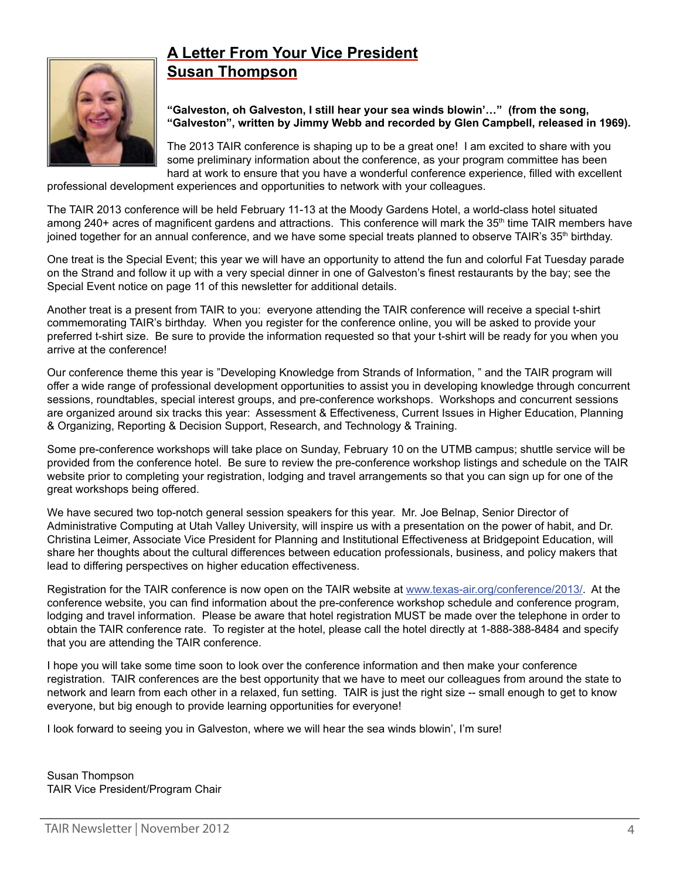# **A Letter From Your Vice President Susan Thompson**



**"Galveston, oh Galveston, I still hear your sea winds blowin'…" (from the song, "Galveston", written by Jimmy Webb and recorded by Glen Campbell, released in 1969).**

The 2013 TAIR conference is shaping up to be a great one! I am excited to share with you some preliminary information about the conference, as your program committee has been hard at work to ensure that you have a wonderful conference experience, filled with excellent

professional development experiences and opportunities to network with your colleagues.

The TAIR 2013 conference will be held February 11-13 at the Moody Gardens Hotel, a world-class hotel situated among 240+ acres of magnificent gardens and attractions. This conference will mark the 35<sup>th</sup> time TAIR members have joined together for an annual conference, and we have some special treats planned to observe TAIR's 35<sup>th</sup> birthday.

One treat is the Special Event; this year we will have an opportunity to attend the fun and colorful Fat Tuesday parade on the Strand and follow it up with a very special dinner in one of Galveston's finest restaurants by the bay; see the Special Event notice on page 11 of this newsletter for additional details.

Another treat is a present from TAIR to you: everyone attending the TAIR conference will receive a special t-shirt commemorating TAIR's birthday. When you register for the conference online, you will be asked to provide your preferred t-shirt size. Be sure to provide the information requested so that your t-shirt will be ready for you when you arrive at the conference!

Our conference theme this year is "Developing Knowledge from Strands of Information, " and the TAIR program will offer a wide range of professional development opportunities to assist you in developing knowledge through concurrent sessions, roundtables, special interest groups, and pre-conference workshops. Workshops and concurrent sessions are organized around six tracks this year: Assessment & Effectiveness, Current Issues in Higher Education, Planning & Organizing, Reporting & Decision Support, Research, and Technology & Training.

Some pre-conference workshops will take place on Sunday, February 10 on the UTMB campus; shuttle service will be provided from the conference hotel. Be sure to review the pre-conference workshop listings and schedule on the TAIR website prior to completing your registration, lodging and travel arrangements so that you can sign up for one of the great workshops being offered.

We have secured two top-notch general session speakers for this year. Mr. Joe Belnap, Senior Director of Administrative Computing at Utah Valley University, will inspire us with a presentation on the power of habit, and Dr. Christina Leimer, Associate Vice President for Planning and Institutional Effectiveness at Bridgepoint Education, will share her thoughts about the cultural differences between education professionals, business, and policy makers that lead to differing perspectives on higher education effectiveness.

Registration for the TAIR conference is now open on the TAIR website at [www.texas-air.org/conference/2013/.](http://www.texas-air.org/conference/2013/) At the conference website, you can find information about the pre-conference workshop schedule and conference program, lodging and travel information. Please be aware that hotel registration MUST be made over the telephone in order to obtain the TAIR conference rate. To register at the hotel, please call the hotel directly at 1-888-388-8484 and specify that you are attending the TAIR conference.

I hope you will take some time soon to look over the conference information and then make your conference registration. TAIR conferences are the best opportunity that we have to meet our colleagues from around the state to network and learn from each other in a relaxed, fun setting. TAIR is just the right size -- small enough to get to know everyone, but big enough to provide learning opportunities for everyone!

I look forward to seeing you in Galveston, where we will hear the sea winds blowin', I'm sure!

Susan Thompson TAIR Vice President/Program Chair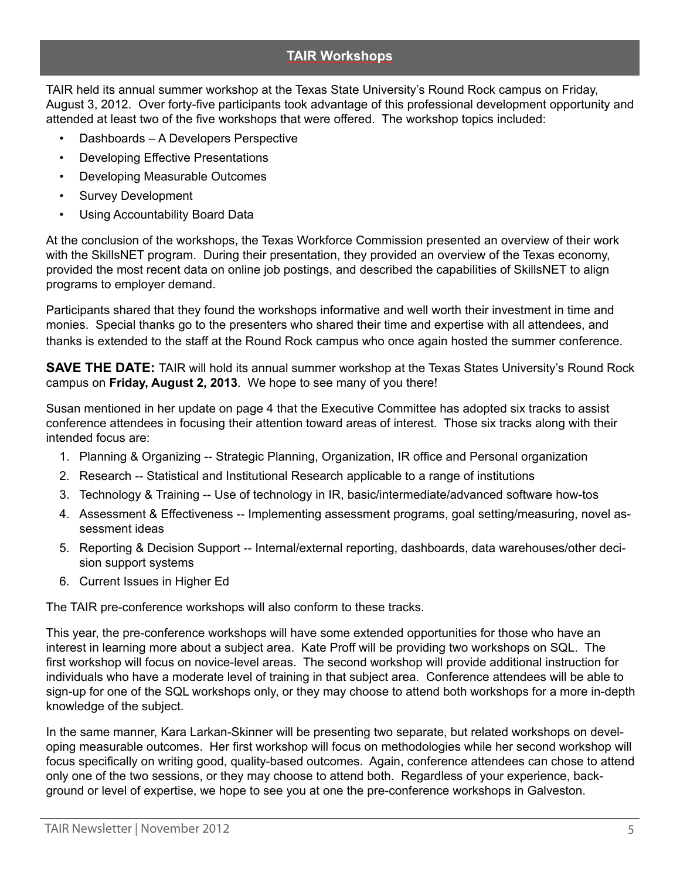# **TAIR Workshops**

TAIR held its annual summer workshop at the Texas State University's Round Rock campus on Friday, August 3, 2012. Over forty-five participants took advantage of this professional development opportunity and attended at least two of the five workshops that were offered. The workshop topics included:

- Dashboards A Developers Perspective
- Developing Effective Presentations
- Developing Measurable Outcomes
- Survey Development
- Using Accountability Board Data

At the conclusion of the workshops, the Texas Workforce Commission presented an overview of their work with the SkillsNET program. During their presentation, they provided an overview of the Texas economy, provided the most recent data on online job postings, and described the capabilities of SkillsNET to align programs to employer demand.

Participants shared that they found the workshops informative and well worth their investment in time and monies. Special thanks go to the presenters who shared their time and expertise with all attendees, and thanks is extended to the staff at the Round Rock campus who once again hosted the summer conference.

**SAVE THE DATE:** TAIR will hold its annual summer workshop at the Texas States University's Round Rock campus on **Friday, August 2, 2013**. We hope to see many of you there!

Susan mentioned in her update on page 4 that the Executive Committee has adopted six tracks to assist conference attendees in focusing their attention toward areas of interest. Those six tracks along with their intended focus are:

- 1. Planning & Organizing -- Strategic Planning, Organization, IR office and Personal organization
- 2. Research -- Statistical and Institutional Research applicable to a range of institutions
- 3. Technology & Training -- Use of technology in IR, basic/intermediate/advanced software how-tos
- 4. Assessment & Effectiveness -- Implementing assessment programs, goal setting/measuring, novel assessment ideas
- 5. Reporting & Decision Support -- Internal/external reporting, dashboards, data warehouses/other decision support systems
- 6. Current Issues in Higher Ed

The TAIR pre-conference workshops will also conform to these tracks.

This year, the pre-conference workshops will have some extended opportunities for those who have an interest in learning more about a subject area. Kate Proff will be providing two workshops on SQL. The first workshop will focus on novice-level areas. The second workshop will provide additional instruction for individuals who have a moderate level of training in that subject area. Conference attendees will be able to sign-up for one of the SQL workshops only, or they may choose to attend both workshops for a more in-depth knowledge of the subject.

In the same manner, Kara Larkan-Skinner will be presenting two separate, but related workshops on developing measurable outcomes. Her first workshop will focus on methodologies while her second workshop will focus specifically on writing good, quality-based outcomes. Again, conference attendees can chose to attend only one of the two sessions, or they may choose to attend both. Regardless of your experience, background or level of expertise, we hope to see you at one the pre-conference workshops in Galveston.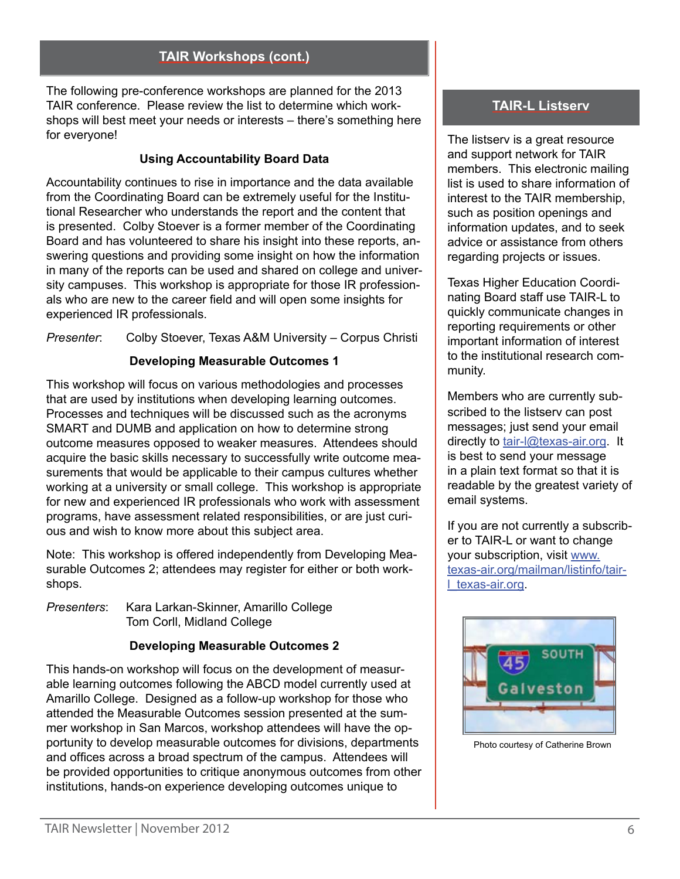# **TAIR Workshops (cont.)**

The following pre-conference workshops are planned for the 2013 TAIR conference. Please review the list to determine which workshops will best meet your needs or interests – there's something here for everyone!

# **Using Accountability Board Data**

Accountability continues to rise in importance and the data available from the Coordinating Board can be extremely useful for the Institutional Researcher who understands the report and the content that is presented. Colby Stoever is a former member of the Coordinating Board and has volunteered to share his insight into these reports, answering questions and providing some insight on how the information in many of the reports can be used and shared on college and university campuses. This workshop is appropriate for those IR professionals who are new to the career field and will open some insights for experienced IR professionals.

*Presenter*: Colby Stoever, Texas A&M University – Corpus Christi

# **Developing Measurable Outcomes 1**

This workshop will focus on various methodologies and processes that are used by institutions when developing learning outcomes. Processes and techniques will be discussed such as the acronyms SMART and DUMB and application on how to determine strong outcome measures opposed to weaker measures. Attendees should acquire the basic skills necessary to successfully write outcome measurements that would be applicable to their campus cultures whether working at a university or small college. This workshop is appropriate for new and experienced IR professionals who work with assessment programs, have assessment related responsibilities, or are just curious and wish to know more about this subject area.

Note: This workshop is offered independently from Developing Measurable Outcomes 2; attendees may register for either or both workshops.

*Presenters*: Kara Larkan-Skinner, Amarillo College Tom Corll, Midland College

# **Developing Measurable Outcomes 2**

This hands-on workshop will focus on the development of measurable learning outcomes following the ABCD model currently used at Amarillo College. Designed as a follow-up workshop for those who attended the Measurable Outcomes session presented at the summer workshop in San Marcos, workshop attendees will have the opportunity to develop measurable outcomes for divisions, departments and offices across a broad spectrum of the campus. Attendees will be provided opportunities to critique anonymous outcomes from other institutions, hands-on experience developing outcomes unique to

# **TAIR-L Listserv**

The listserv is a great resource and support network for TAIR members. This electronic mailing list is used to share information of interest to the TAIR membership, such as position openings and information updates, and to seek advice or assistance from others regarding projects or issues.

Texas Higher Education Coordinating Board staff use TAIR-L to quickly communicate changes in reporting requirements or other important information of interest to the institutional research community.

Members who are currently subscribed to the listserv can post messages; just send your email directly to tair-I@texas-air.org. It is best to send your message in a plain text format so that it is readable by the greatest variety of email systems.

If you are not currently a subscriber to TAIR-L or want to change your subscription, visit www. [texas-air.org/mailman/listinfo/tair](http://texas-air.org/mailman/listinfo/tair-l_texas-air.org)[l\\_texas-air.org](http://texas-air.org/mailman/listinfo/tair-l_texas-air.org).



Photo courtesy of Catherine Brown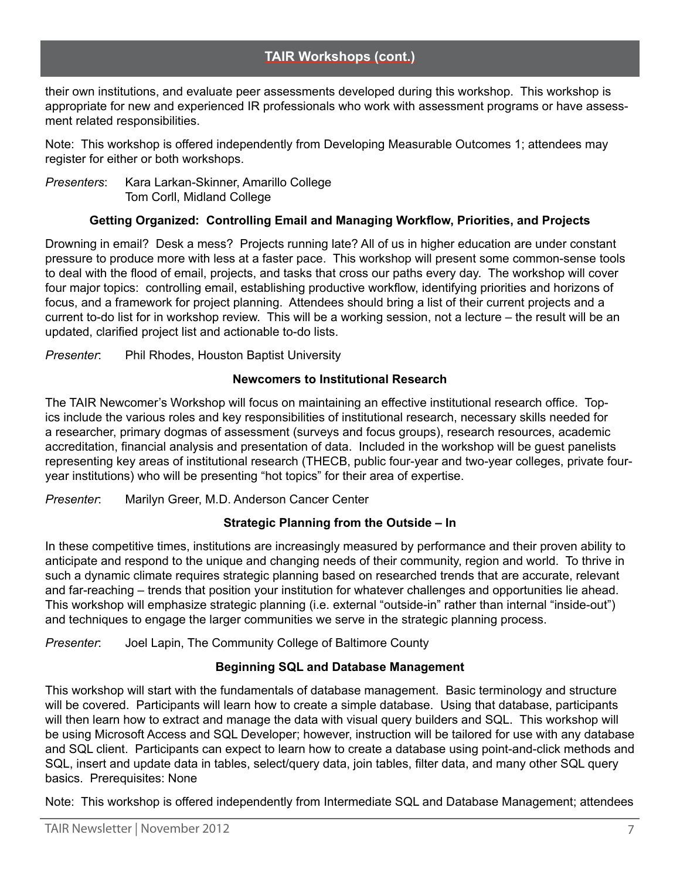their own institutions, and evaluate peer assessments developed during this workshop. This workshop is appropriate for new and experienced IR professionals who work with assessment programs or have assessment related responsibilities.

Note: This workshop is offered independently from Developing Measurable Outcomes 1; attendees may register for either or both workshops.

*Presenters*: Kara Larkan-Skinner, Amarillo College Tom Corll, Midland College

# **Getting Organized: Controlling Email and Managing Workflow, Priorities, and Projects**

Drowning in email? Desk a mess? Projects running late? All of us in higher education are under constant pressure to produce more with less at a faster pace. This workshop will present some common-sense tools to deal with the flood of email, projects, and tasks that cross our paths every day. The workshop will cover four major topics: controlling email, establishing productive workflow, identifying priorities and horizons of focus, and a framework for project planning. Attendees should bring a list of their current projects and a current to-do list for in workshop review. This will be a working session, not a lecture – the result will be an updated, clarified project list and actionable to-do lists.

*Presenter*: Phil Rhodes, Houston Baptist University

# **Newcomers to Institutional Research**

The TAIR Newcomer's Workshop will focus on maintaining an effective institutional research office. Topics include the various roles and key responsibilities of institutional research, necessary skills needed for a researcher, primary dogmas of assessment (surveys and focus groups), research resources, academic accreditation, financial analysis and presentation of data. Included in the workshop will be guest panelists representing key areas of institutional research (THECB, public four-year and two-year colleges, private fouryear institutions) who will be presenting "hot topics" for their area of expertise.

*Presenter*: Marilyn Greer, M.D. Anderson Cancer Center

# **Strategic Planning from the Outside – In**

In these competitive times, institutions are increasingly measured by performance and their proven ability to anticipate and respond to the unique and changing needs of their community, region and world. To thrive in such a dynamic climate requires strategic planning based on researched trends that are accurate, relevant and far-reaching – trends that position your institution for whatever challenges and opportunities lie ahead. This workshop will emphasize strategic planning (i.e. external "outside-in" rather than internal "inside-out") and techniques to engage the larger communities we serve in the strategic planning process.

*Presenter*: Joel Lapin, The Community College of Baltimore County

# **Beginning SQL and Database Management**

This workshop will start with the fundamentals of database management. Basic terminology and structure will be covered. Participants will learn how to create a simple database. Using that database, participants will then learn how to extract and manage the data with visual query builders and SQL. This workshop will be using Microsoft Access and SQL Developer; however, instruction will be tailored for use with any database and SQL client. Participants can expect to learn how to create a database using point-and-click methods and SQL, insert and update data in tables, select/query data, join tables, filter data, and many other SQL query basics. Prerequisites: None

Note: This workshop is offered independently from Intermediate SQL and Database Management; attendees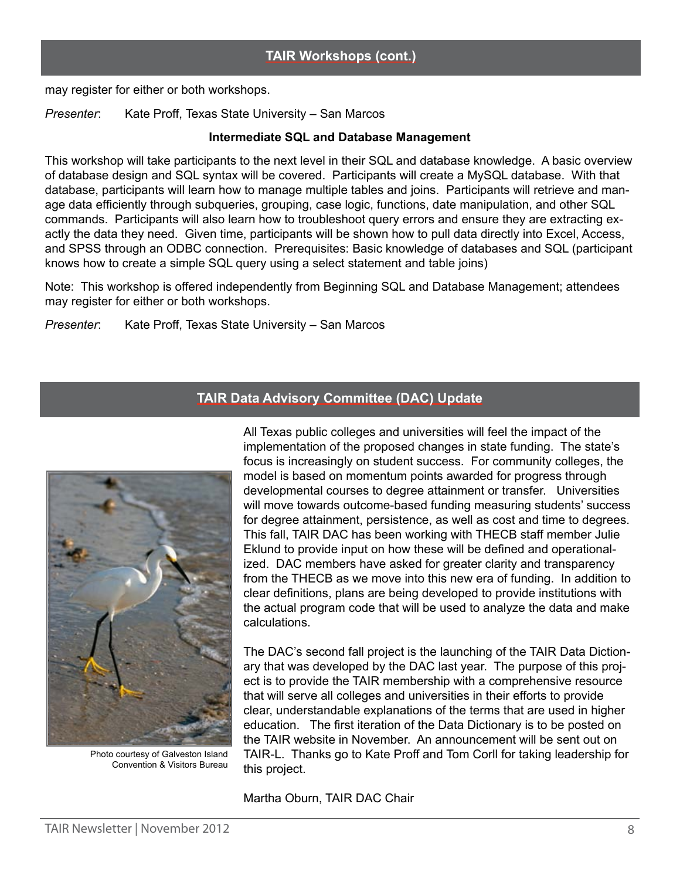# **TAIR Workshops (cont.)**

may register for either or both workshops.

*Presenter*: Kate Proff, Texas State University – San Marcos

#### **Intermediate SQL and Database Management**

This workshop will take participants to the next level in their SQL and database knowledge. A basic overview of database design and SQL syntax will be covered. Participants will create a MySQL database. With that database, participants will learn how to manage multiple tables and joins. Participants will retrieve and manage data efficiently through subqueries, grouping, case logic, functions, date manipulation, and other SQL commands. Participants will also learn how to troubleshoot query errors and ensure they are extracting exactly the data they need. Given time, participants will be shown how to pull data directly into Excel, Access, and SPSS through an ODBC connection. Prerequisites: Basic knowledge of databases and SQL (participant knows how to create a simple SQL query using a select statement and table joins)

Note: This workshop is offered independently from Beginning SQL and Database Management; attendees may register for either or both workshops.

*Presenter*: Kate Proff, Texas State University – San Marcos

# **TAIR Data Advisory Committee (DAC) Update**



Photo courtesy of Galveston Island Convention & Visitors Bureau

All Texas public colleges and universities will feel the impact of the implementation of the proposed changes in state funding. The state's focus is increasingly on student success. For community colleges, the model is based on momentum points awarded for progress through developmental courses to degree attainment or transfer. Universities will move towards outcome-based funding measuring students' success for degree attainment, persistence, as well as cost and time to degrees. This fall, TAIR DAC has been working with THECB staff member Julie Eklund to provide input on how these will be defined and operationalized. DAC members have asked for greater clarity and transparency from the THECB as we move into this new era of funding. In addition to clear definitions, plans are being developed to provide institutions with the actual program code that will be used to analyze the data and make calculations.

The DAC's second fall project is the launching of the TAIR Data Dictionary that was developed by the DAC last year. The purpose of this project is to provide the TAIR membership with a comprehensive resource that will serve all colleges and universities in their efforts to provide clear, understandable explanations of the terms that are used in higher education. The first iteration of the Data Dictionary is to be posted on the TAIR website in November. An announcement will be sent out on TAIR-L. Thanks go to Kate Proff and Tom Corll for taking leadership for this project.

#### Martha Oburn, TAIR DAC Chair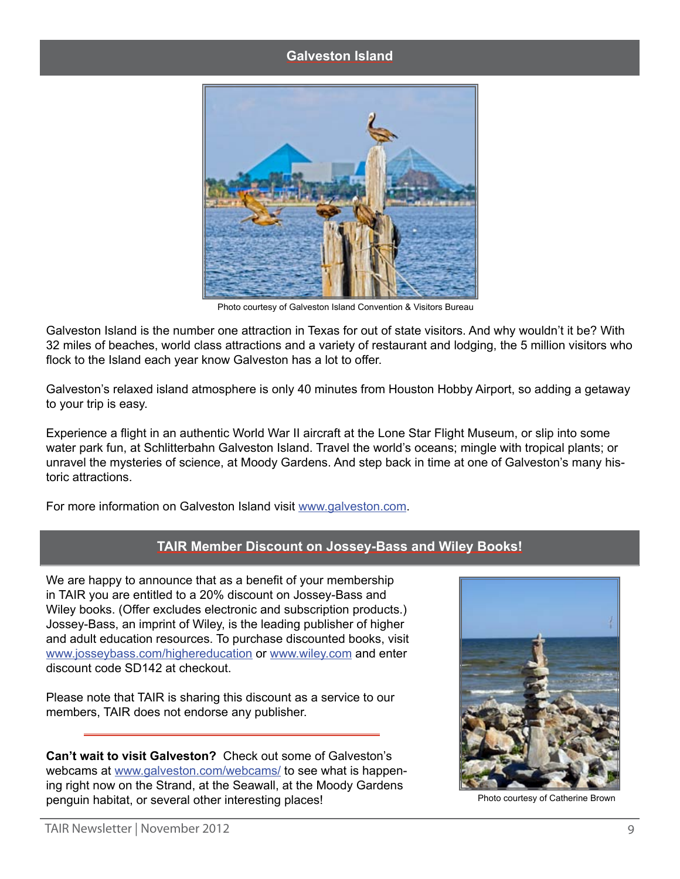#### **Galveston Island**



Photo courtesy of Galveston Island Convention & Visitors Bureau

Galveston Island is the number one attraction in Texas for out of state visitors. And why wouldn't it be? With 32 miles of beaches, world class attractions and a variety of restaurant and lodging, the 5 million visitors who flock to the Island each year know Galveston has a lot to offer.

Galveston's relaxed island atmosphere is only 40 minutes from Houston Hobby Airport, so adding a getaway to your trip is easy.

Experience a flight in an authentic World War II aircraft at the Lone Star Flight Museum, or slip into some water park fun, at Schlitterbahn Galveston Island. Travel the world's oceans; mingle with tropical plants; or unravel the mysteries of science, at Moody Gardens. And step back in time at one of Galveston's many historic attractions.

For more information on Galveston Island visit <www.galveston.com>.

# **TAIR Member Discount on Jossey-Bass and Wiley Books!**

We are happy to announce that as a benefit of your membership in TAIR you are entitled to a 20% discount on Jossey-Bass and Wiley books. (Offer excludes electronic and subscription products.) Jossey-Bass, an imprint of Wiley, is the leading publisher of higher and adult education resources. To purchase discounted books, visit <www.josseybass.com/highereducation> or<www.wiley.com> and enter discount code SD142 at checkout.

Please note that TAIR is sharing this discount as a service to our members, TAIR does not endorse any publisher.

**Can't wait to visit Galveston?** Check out some of Galveston's webcams at [www.galveston.com/webcams/](http://www.galveston.com/webcams/) to see what is happening right now on the Strand, at the Seawall, at the Moody Gardens penguin habitat, or several other interesting places!<br>
Photo courtesy of Catherine Brown

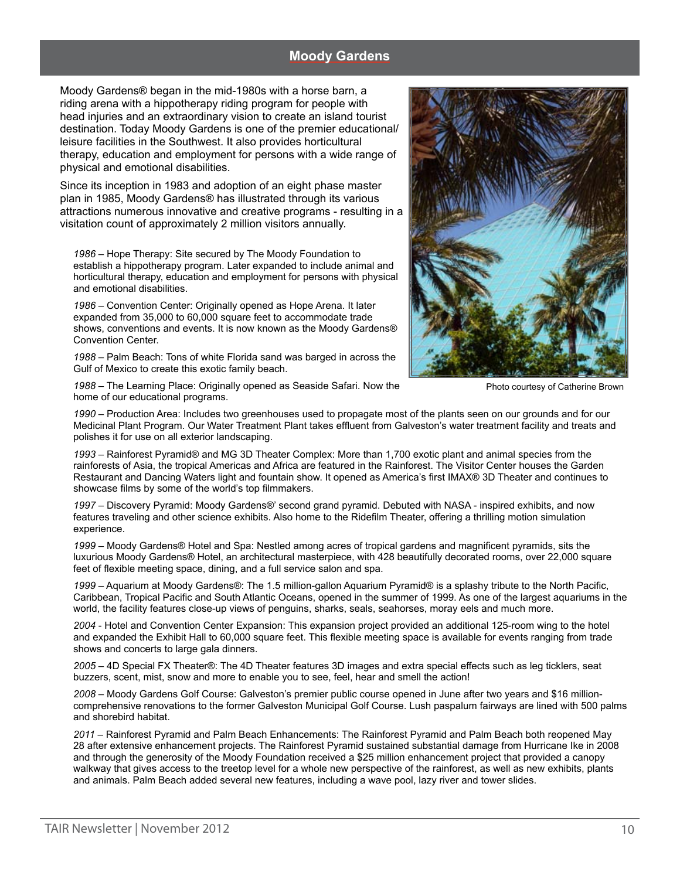### **Moody Gardens**

Moody Gardens® began in the mid-1980s with a horse barn, a riding arena with a hippotherapy riding program for people with head injuries and an extraordinary vision to create an island tourist destination. Today Moody Gardens is one of the premier educational/ leisure facilities in the Southwest. It also provides horticultural therapy, education and employment for persons with a wide range of physical and emotional disabilities.

Since its inception in 1983 and adoption of an eight phase master plan in 1985, Moody Gardens® has illustrated through its various attractions numerous innovative and creative programs - resulting in a visitation count of approximately 2 million visitors annually.

*1986* – Hope Therapy: Site secured by The Moody Foundation to establish a hippotherapy program. Later expanded to include animal and horticultural therapy, education and employment for persons with physical and emotional disabilities.

*1986* – Convention Center: Originally opened as Hope Arena. It later expanded from 35,000 to 60,000 square feet to accommodate trade shows, conventions and events. It is now known as the Moody Gardens® Convention Center.

*1988* – Palm Beach: Tons of white Florida sand was barged in across the Gulf of Mexico to create this exotic family beach.

*1988* – The Learning Place: Originally opened as Seaside Safari. Now the home of our educational programs.

Photo courtesy of Catherine Brown

*1990* – Production Area: Includes two greenhouses used to propagate most of the plants seen on our grounds and for our Medicinal Plant Program. Our Water Treatment Plant takes effluent from Galveston's water treatment facility and treats and polishes it for use on all exterior landscaping.

*1993* – Rainforest Pyramid® and MG 3D Theater Complex: More than 1,700 exotic plant and animal species from the rainforests of Asia, the tropical Americas and Africa are featured in the Rainforest. The Visitor Center houses the Garden Restaurant and Dancing Waters light and fountain show. It opened as America's first IMAX® 3D Theater and continues to showcase films by some of the world's top filmmakers.

*1997* – Discovery Pyramid: Moody Gardens®' second grand pyramid. Debuted with NASA - inspired exhibits, and now features traveling and other science exhibits. Also home to the Ridefilm Theater, offering a thrilling motion simulation experience.

*1999* – Moody Gardens® Hotel and Spa: Nestled among acres of tropical gardens and magnificent pyramids, sits the luxurious Moody Gardens® Hotel, an architectural masterpiece, with 428 beautifully decorated rooms, over 22,000 square feet of flexible meeting space, dining, and a full service salon and spa.

*1999* – Aquarium at Moody Gardens®: The 1.5 million-gallon Aquarium Pyramid® is a splashy tribute to the North Pacific, Caribbean, Tropical Pacific and South Atlantic Oceans, opened in the summer of 1999. As one of the largest aquariums in the world, the facility features close-up views of penguins, sharks, seals, seahorses, moray eels and much more.

*2004* - Hotel and Convention Center Expansion: This expansion project provided an additional 125-room wing to the hotel and expanded the Exhibit Hall to 60,000 square feet. This flexible meeting space is available for events ranging from trade shows and concerts to large gala dinners.

*2005* – 4D Special FX Theater®: The 4D Theater features 3D images and extra special effects such as leg ticklers, seat buzzers, scent, mist, snow and more to enable you to see, feel, hear and smell the action!

*2008* – Moody Gardens Golf Course: Galveston's premier public course opened in June after two years and \$16 millioncomprehensive renovations to the former Galveston Municipal Golf Course. Lush paspalum fairways are lined with 500 palms and shorebird habitat.

*2011* – Rainforest Pyramid and Palm Beach Enhancements: The Rainforest Pyramid and Palm Beach both reopened May 28 after extensive enhancement projects. The Rainforest Pyramid sustained substantial damage from Hurricane Ike in 2008 and through the generosity of the Moody Foundation received a \$25 million enhancement project that provided a canopy walkway that gives access to the treetop level for a whole new perspective of the rainforest, as well as new exhibits, plants and animals. Palm Beach added several new features, including a wave pool, lazy river and tower slides.

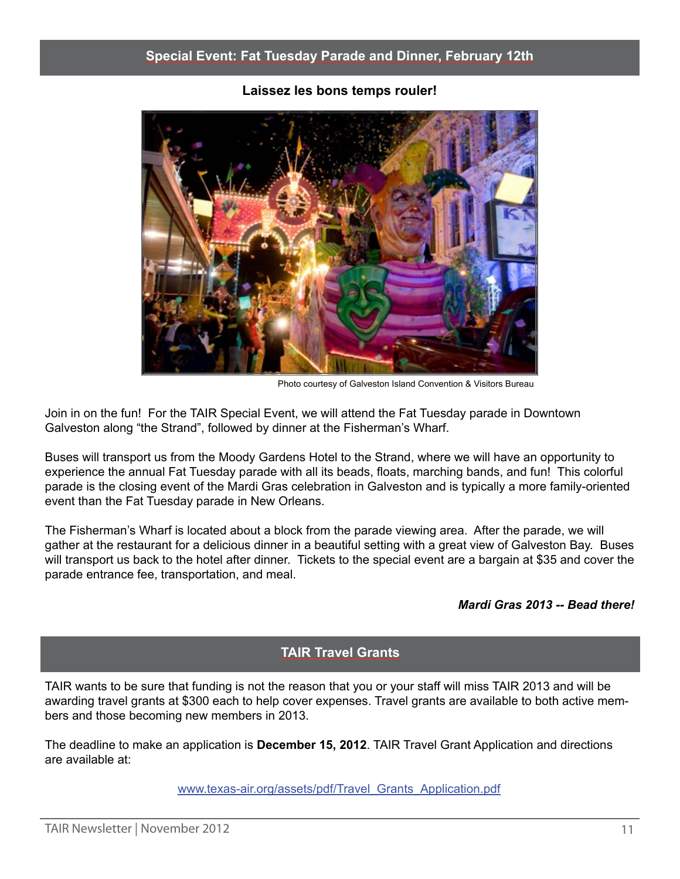

**Laissez les bons temps rouler!**

Photo courtesy of Galveston Island Convention & Visitors Bureau

Join in on the fun! For the TAIR Special Event, we will attend the Fat Tuesday parade in Downtown Galveston along "the Strand", followed by dinner at the Fisherman's Wharf.

Buses will transport us from the Moody Gardens Hotel to the Strand, where we will have an opportunity to experience the annual Fat Tuesday parade with all its beads, floats, marching bands, and fun! This colorful parade is the closing event of the Mardi Gras celebration in Galveston and is typically a more family-oriented event than the Fat Tuesday parade in New Orleans.

The Fisherman's Wharf is located about a block from the parade viewing area. After the parade, we will gather at the restaurant for a delicious dinner in a beautiful setting with a great view of Galveston Bay. Buses will transport us back to the hotel after dinner. Tickets to the special event are a bargain at \$35 and cover the parade entrance fee, transportation, and meal.

### *Mardi Gras 2013 -- Bead there!*

# **TAIR Travel Grants**

TAIR wants to be sure that funding is not the reason that you or your staff will miss TAIR 2013 and will be awarding travel grants at \$300 each to help cover expenses. Travel grants are available to both active members and those becoming new members in 2013.

The deadline to make an application is **December 15, 2012**. TAIR Travel Grant Application and directions are available at:

[www.texas-air.org/assets/pdf/Travel\\_Grants\\_Application.pdf](http://www.texas-air.org/assets/pdf/Travel_Grants_Application.pdf)